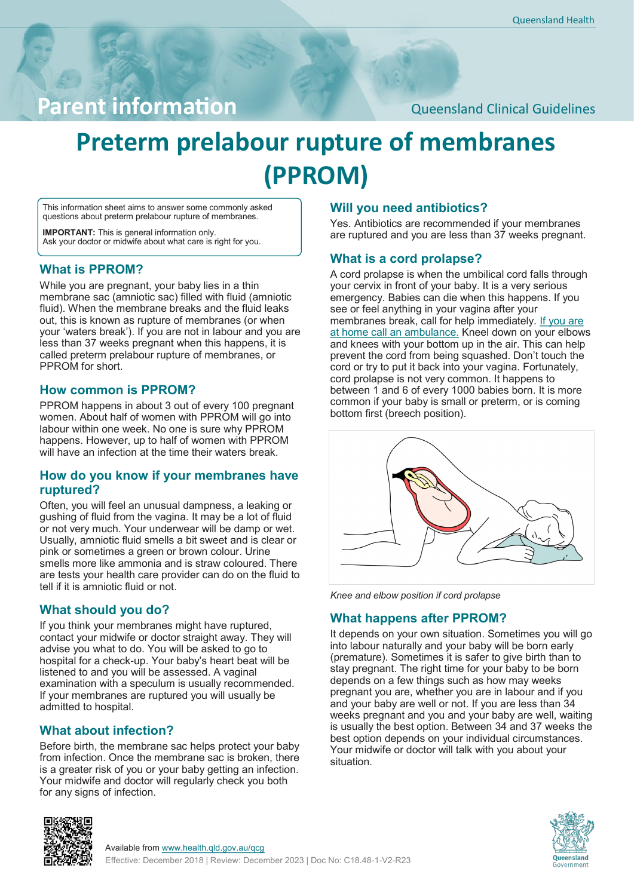# Parent information **Parent information**

# **Preterm prelabour rupture of membranes (PPROM)**

This information sheet aims to answer some commonly asked questions about preterm prelabour rupture of membranes.

**IMPORTANT:** This is general information only. Ask your doctor or midwife about what care is right for you.

#### **What is PPROM?**

While you are pregnant, your baby lies in a thin membrane sac (amniotic sac) filled with fluid (amniotic fluid). When the membrane breaks and the fluid leaks out, this is known as rupture of membranes (or when your 'waters break'). If you are not in labour and you are less than 37 weeks pregnant when this happens, it is called preterm prelabour rupture of membranes, or PPROM for short.

#### **How common is PPROM?**

PPROM happens in about 3 out of every 100 pregnant women. About half of women with PPROM will go into labour within one week. No one is sure why PPROM happens. However, up to half of women with PPROM will have an infection at the time their waters break

#### **How do you know if your membranes have ruptured?**

Often, you will feel an unusual dampness, a leaking or gushing of fluid from the vagina. It may be a lot of fluid or not very much. Your underwear will be damp or wet. Usually, amniotic fluid smells a bit sweet and is clear or pink or sometimes a green or brown colour. Urine smells more like ammonia and is straw coloured. There are tests your health care provider can do on the fluid to tell if it is amniotic fluid or not.

#### **What should you do?**

If you think your membranes might have ruptured, contact your midwife or doctor straight away. They will advise you what to do. You will be asked to go to hospital for a check-up. Your baby's heart beat will be listened to and you will be assessed. A vaginal examination with a speculum is usually recommended. If your membranes are ruptured you will usually be admitted to hospital.

### **What about infection?**

Before birth, the membrane sac helps protect your baby from infection. Once the membrane sac is broken, there is a greater risk of you or your baby getting an infection. Your midwife and doctor will regularly check you both for any signs of infection.

## **Will you need antibiotics?**

Yes. Antibiotics are recommended if your membranes are ruptured and you are less than 37 weeks pregnant.

#### **What is a cord prolapse?**

A cord prolapse is when the umbilical cord falls through your cervix in front of your baby. It is a very serious emergency. Babies can die when this happens. If you see or feel anything in your vagina after your membranes break, call for help immediately. If you are at home call an ambulance. Kneel down on your elbows and knees with your bottom up in the air. This can help prevent the cord from being squashed. Don't touch the cord or try to put it back into your vagina. Fortunately, cord prolapse is not very common. It happens to between 1 and 6 of every 1000 babies born. It is more common if your baby is small or preterm, or is coming bottom first (breech position).



*Knee and elbow position if cord prolapse*

### **What happens after PPROM?**

It depends on your own situation. Sometimes you will go into labour naturally and your baby will be born early (premature). Sometimes it is safer to give birth than to stay pregnant. The right time for your baby to be born depends on a few things such as how may weeks pregnant you are, whether you are in labour and if you and your baby are well or not. If you are less than 34 weeks pregnant and you and your baby are well, waiting is usually the best option. Between 34 and 37 weeks the best option depends on your individual circumstances. Your midwife or doctor will talk with you about your situation.